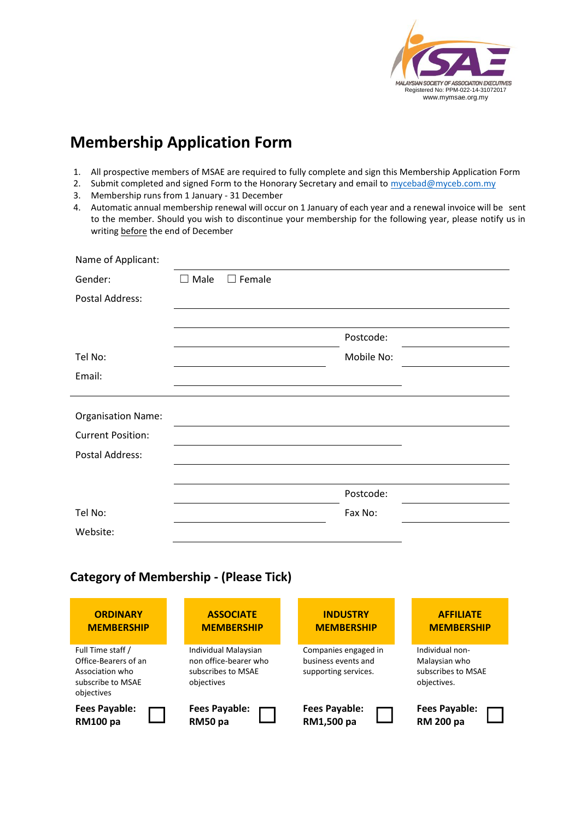

# **Membership Application Form**

- 1. All prospective members of MSAE are required to fully complete and sign this Membership Application Form
- 2. Submit completed and signed Form to the Honorary Secretary and email to mycebad@myceb.com.my
- 3. Membership runs from 1 January 31 December
- 4. Automatic annual membership renewal will occur on 1 January of each year and a renewal invoice will be sent to the member. Should you wish to discontinue your membership for the following year, please notify us in writing before the end of December

| Name of Applicant:        |                |               |            |  |
|---------------------------|----------------|---------------|------------|--|
| Gender:                   | $\square$ Male | $\Box$ Female |            |  |
| Postal Address:           |                |               |            |  |
|                           |                |               |            |  |
|                           |                |               | Postcode:  |  |
| Tel No:                   |                |               | Mobile No: |  |
| Email:                    |                |               |            |  |
|                           |                |               |            |  |
| <b>Organisation Name:</b> |                |               |            |  |
| <b>Current Position:</b>  |                |               |            |  |
| Postal Address:           |                |               |            |  |
|                           |                |               |            |  |
|                           |                |               | Postcode:  |  |
| Tel No:                   |                |               | Fax No:    |  |
| Website:                  |                |               |            |  |

# **Category of Membership - (Please Tick)**